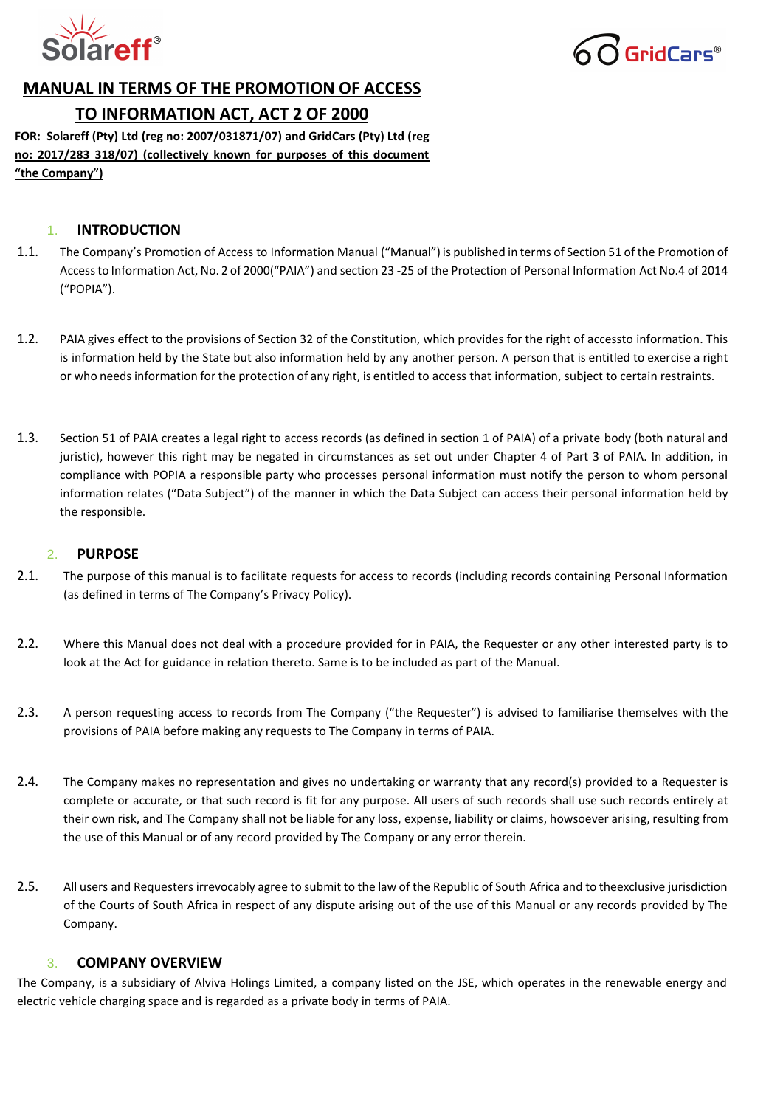



# **MANUAL IN TERMS OF THE PROMOTION OF ACCESS**

# **TO INFORMATION ACT, ACT 2 OF 2000**

**FOR: Solareff (Pty) Ltd (reg no: 2007/031871/07) and GridCars (Pty) Ltd (reg no: 2017/283 318/07) (collectively known for purposes of this document "the Company")**

## 1. **INTRODUCTION**

- 1.1. The Company's Promotion of Access to Information Manual ("Manual") is published in terms of Section 51 of the Promotion of Accessto Information Act, No. 2 of 2000("PAIA") and section 23 -25 of the Protection of Personal Information Act No.4 of 2014 ("POPIA").
- 1.2. PAIA gives effect to the provisions of Section 32 of the Constitution, which provides for the right of accessto information. This is information held by the State but also information held by any another person. A person that is entitled to exercise a right or who needs information for the protection of any right, is entitled to access that information, subject to certain restraints.
- 1.3. Section 51 of PAIA creates a legal right to access records (as defined in section 1 of PAIA) of a private body (both natural and juristic), however this right may be negated in circumstances as set out under Chapter 4 of Part 3 of PAIA. In addition, in compliance with POPIA a responsible party who processes personal information must notify the person to whom personal information relates ("Data Subject") of the manner in which the Data Subject can access their personal information held by the responsible.

## 2. **PURPOSE**

- 2.1. The purpose of this manual is to facilitate requests for access to records (including records containing Personal Information (as defined in terms of The Company's [Privacy Policy\)](https://cdn.ymaws.com/www.iodsa.co.za/resource/collection/F85F0CDA-6820-4BBA-A467-ED6EE14B0EE5/Privacy_Policy.pdf).
- 2.2. Where this Manual does not deal with a procedure provided for in PAIA, the Requester or any other interested party is to look at the Act for guidance in relation thereto. Same is to be included as part of the Manual.
- 2.3. A person requesting access to records from The Company ("the Requester") is advised to familiarise themselves with the provisions of PAIA before making any requests to The Company in terms of PAIA.
- 2.4. The Company makes no representation and gives no undertaking or warranty that any record(s) provided to a Requester is complete or accurate, or that such record is fit for any purpose. All users of such records shall use such records entirely at their own risk, and The Company shall not be liable for any loss, expense, liability or claims, howsoever arising, resulting from the use of this Manual or of any record provided by The Company or any error therein.
- 2.5. All users and Requesters irrevocably agree to submit to the law of the Republic of South Africa and to theexclusive jurisdiction of the Courts of South Africa in respect of any dispute arising out of the use of this Manual or any records provided by The Company.

## 3. **COMPANY OVERVIEW**

The Company, is a subsidiary of Alviva Holings Limited, a company listed on the JSE, which operates in the renewable energy and electric vehicle charging space and is regarded as a private body in terms of PAIA.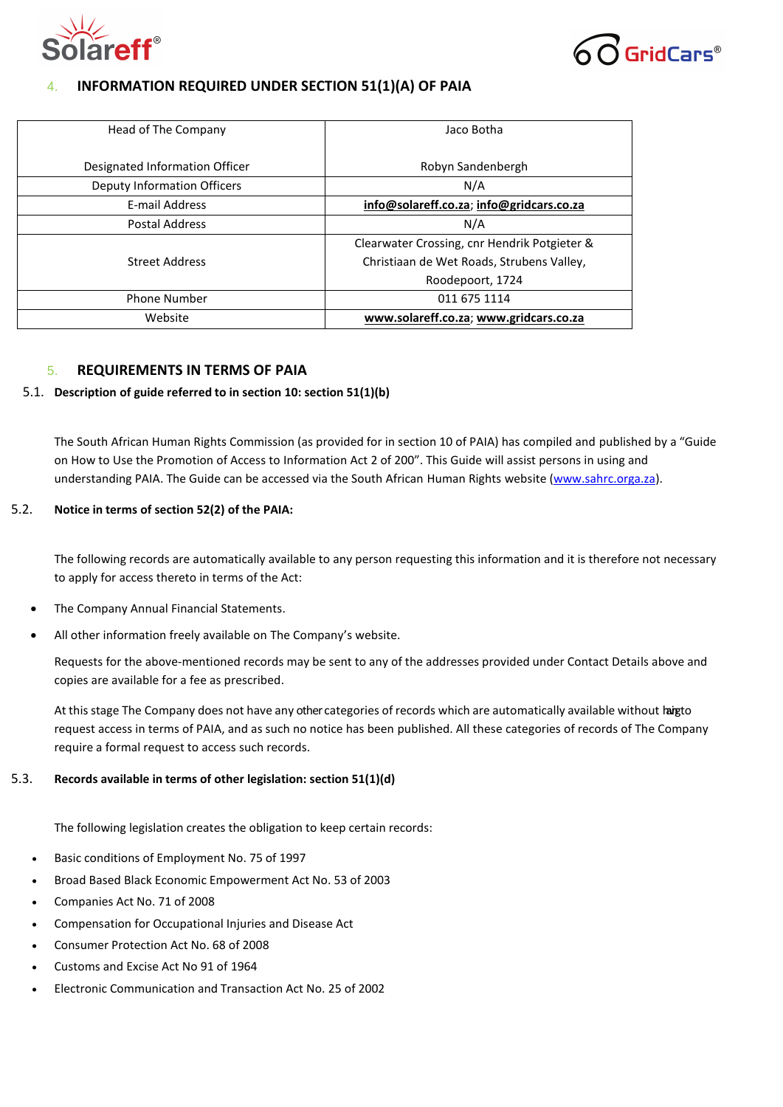



## 4. **INFORMATION REQUIRED UNDER SECTION 51(1)(A) OF PAIA**

| Head of The Company            | Jaco Botha                                   |  |
|--------------------------------|----------------------------------------------|--|
| Designated Information Officer | Robyn Sandenbergh                            |  |
| Deputy Information Officers    | N/A                                          |  |
| E-mail Address                 | info@solareff.co.za; info@gridcars.co.za     |  |
| <b>Postal Address</b>          | N/A                                          |  |
|                                | Clearwater Crossing, cnr Hendrik Potgieter & |  |
| <b>Street Address</b>          | Christiaan de Wet Roads, Strubens Valley,    |  |
|                                | Roodepoort, 1724                             |  |
| <b>Phone Number</b>            | 011 675 1114                                 |  |
| Website                        | www.solareff.co.za; www.gridcars.co.za       |  |

## 5. **REQUIREMENTS IN TERMS OF PAIA**

#### 5.1. **Description of guide referred to in section 10: section 51(1)(b)**

The South African Human Rights Commission (as provided for in section 10 of PAIA) has compiled and published by a "Guide on How to Use the Promotion of Access to Information Act 2 of 200". This Guide will assist persons in using and understanding PAIA. The Guide can be accessed via the South African Human Rights website [\(www.sahrc.orga.za\)](http://www.sahrc.orga.za/).

## 5.2. **Notice in terms of section 52(2) of the PAIA:**

The following records are automatically available to any person requesting this information and it is therefore not necessary to apply for access thereto in terms of the Act:

- The Company Annual Financial Statements.
- All other information freely available on The Company's website.

Requests for the above-mentioned records may be sent to any of the addresses provided under Contact Details above and copies are available for a fee as prescribed.

At this stage The Company does not have any other categories of records which are automatically available without hargto request access in terms of PAIA, and as such no notice has been published. All these categories of records of The Company require a formal request to access such records.

## 5.3. **Records available in terms of other legislation: section 51(1)(d)**

The following legislation creates the obligation to keep certain records:

- Basic conditions of Employment No. 75 of 1997
- Broad Based Black Economic Empowerment Act No. 53 of 2003
- Companies Act No. 71 of 2008
- Compensation for Occupational Injuries and Disease Act
- Consumer Protection Act No. 68 of 2008
- Customs and Excise Act No 91 of 1964
- Electronic Communication and Transaction Act No. 25 of 2002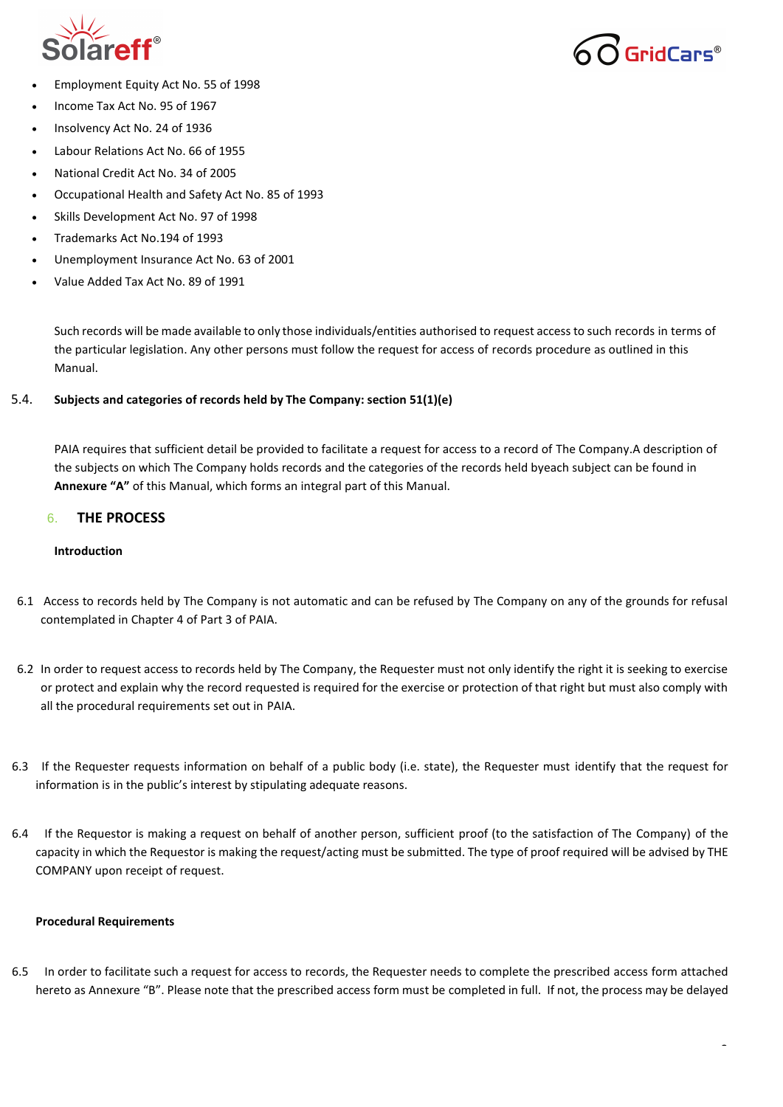

GridCars®

- Employment Equity Act No. 55 of 1998
- Income Tax Act No. 95 of 1967
- Insolvency Act No. 24 of 1936
- Labour Relations Act No. 66 of 1955
- National Credit Act No. 34 of 2005
- Occupational Health and Safety Act No. 85 of 1993
- Skills Development Act No. 97 of 1998
- Trademarks Act No.194 of 1993
- Unemployment Insurance Act No. 63 of 2001
- Value Added Tax Act No. 89 of 1991

Such records will be made available to only those individuals/entities authorised to request accessto such records in terms of the particular legislation. Any other persons must follow the request for access of records procedure as outlined in this Manual.

## 5.4. **Subjects and categories of records held by The Company: section 51(1)(e)**

PAIA requires that sufficient detail be provided to facilitate a request for access to a record of The Company.A description of the subjects on which The Company holds records and the categories of the records held byeach subject can be found in **Annexure "A"** of this Manual, which forms an integral part of this Manual.

## 6. **THE PROCESS**

### **Introduction**

- 6.1 Access to records held by The Company is not automatic and can be refused by The Company on any of the grounds for refusal contemplated in Chapter 4 of Part 3 of PAIA.
- 6.2 In order to request access to records held by The Company, the Requester must not only identify the right it is seeking to exercise or protect and explain why the record requested is required for the exercise or protection of that right but must also comply with all the procedural requirements set out in PAIA.
- 6.3 If the Requester requests information on behalf of a public body (i.e. state), the Requester must identify that the request for information is in the public's interest by stipulating adequate reasons.
- 6.4 If the Requestor is making a request on behalf of another person, sufficient proof (to the satisfaction of The Company) of the capacity in which the Requestor is making the request/acting must be submitted. The type of proof required will be advised by THE COMPANY upon receipt of request.

#### **Procedural Requirements**

6.5 In order to facilitate such a request for access to records, the Requester needs to complete the prescribed access form attached hereto as Annexure "B". Please note that the prescribed access form must be completed in full. If not, the process may be delayed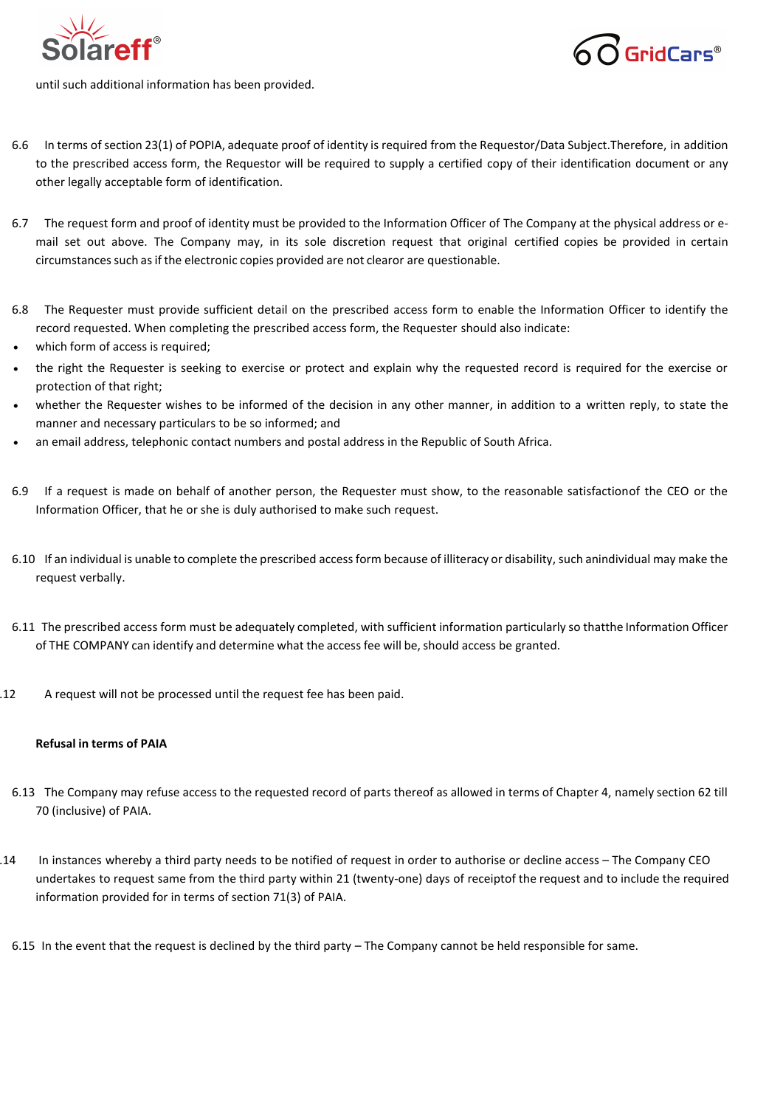



until such additional information has been provided.

- 6.6 In terms of section 23(1) of POPIA, adequate proof of identity is required from the Requestor/Data Subject.Therefore, in addition to the prescribed access form, the Requestor will be required to supply a certified copy of their identification document or any other legally acceptable form of identification.
- 6.7 The request form and proof of identity must be provided to the Information Officer of The Company at the physical address or email set out above. The Company may, in its sole discretion request that original certified copies be provided in certain circumstances such as if the electronic copies provided are not clearor are questionable.
- 6.8 The Requester must provide sufficient detail on the prescribed access form to enable the Information Officer to identify the record requested. When completing the prescribed access form, the Requester should also indicate:
- which form of access is required;
- the right the Requester is seeking to exercise or protect and explain why the requested record is required for the exercise or protection of that right;
- whether the Requester wishes to be informed of the decision in any other manner, in addition to a written reply, to state the manner and necessary particulars to be so informed; and
- an email address, telephonic contact numbers and postal address in the Republic of South Africa.
- 6.9 If a request is made on behalf of another person, the Requester must show, to the reasonable satisfaction of the CEO or the Information Officer, that he or she is duly authorised to make such request.
- 6.10 If an individual is unable to complete the prescribed accessform because of illiteracy or disability, such anindividual may make the request verbally.
- 6.11 The prescribed access form must be adequately completed, with sufficient information particularly so thatthe Information Officer of THE COMPANY can identify and determine what the access fee will be, should access be granted.
- 6.12 A request will not be processed until the request fee has been paid.

## **Refusal in terms of PAIA**

- 6.13 The Company may refuse access to the requested record of parts thereof as allowed in terms of Chapter 4, namely section 62 till 70 (inclusive) of PAIA.
- 6.14 In instances whereby a third party needs to be notified of request in order to authorise or decline access The Company CEO undertakes to request same from the third party within 21 (twenty-one) days of receiptof the request and to include the required information provided for in terms of section 71(3) of PAIA.
	- 6.15 In the event that the request is declined by the third party The Company cannot be held responsible for same.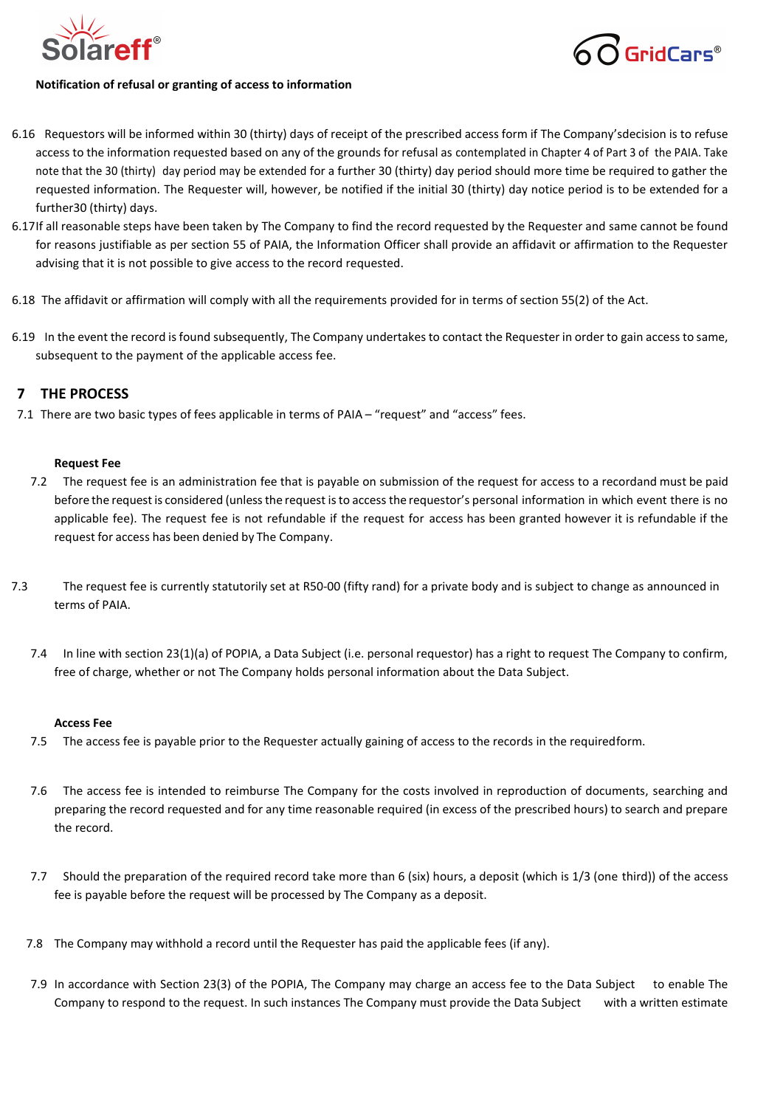



## **Notification of refusal or granting of access to information**

- 6.16 Requestors will be informed within 30 (thirty) days of receipt of the prescribed access form if The Company'sdecision is to refuse access to the information requested based on any of the grounds for refusal as contemplated in Chapter 4 of Part 3 of the PAIA. Take note that the 30 (thirty) day period may be extended for a further 30 (thirty) day period should more time be required to gather the requested information. The Requester will, however, be notified if the initial 30 (thirty) day notice period is to be extended for a further30 (thirty) days.
- 6.17If all reasonable steps have been taken by The Company to find the record requested by the Requester and same cannot be found for reasons justifiable as per section 55 of PAIA, the Information Officer shall provide an affidavit or affirmation to the Requester advising that it is not possible to give access to the record requested.
- 6.18 The affidavit or affirmation will comply with all the requirements provided for in terms of section 55(2) of the Act.
- 6.19 In the event the record is found subsequently, The Company undertakes to contact the Requester in order to gain access to same, subsequent to the payment of the applicable access fee.

## **7 THE PROCESS**

7.1 There are two basic types of fees applicable in terms of PAIA – "request" and "access" fees.

## **Request Fee**

- 7.2 The request fee is an administration fee that is payable on submission of the request for access to a recordand must be paid before the request is considered (unlessthe request isto accessthe requestor's personal information in which event there is no applicable fee). The request fee is not refundable if the request for access has been granted however it is refundable if the request for access has been denied by The Company.
- 7.3 The request fee is currently statutorily set at R50-00 (fifty rand) for a private body and is subject to change as announced in terms of PAIA.
	- 7.4 In line with section 23(1)(a) of POPIA, a Data Subject (i.e. personal requestor) has a right to request The Company to confirm, free of charge, whether or not The Company holds personal information about the Data Subject.

#### **Access Fee**

- 7.5 The access fee is payable prior to the Requester actually gaining of access to the records in the requiredform.
- 7.6 The access fee is intended to reimburse The Company for the costs involved in reproduction of documents, searching and preparing the record requested and for any time reasonable required (in excess of the prescribed hours) to search and prepare the record.
- 7.7 Should the preparation of the required record take more than 6 (six) hours, a deposit (which is 1/3 (one third)) of the access fee is payable before the request will be processed by The Company as a deposit.
- 7.8 The Company may withhold a record until the Requester has paid the applicable fees (if any).
- 7.9 In accordance with Section 23(3) of the POPIA, The Company may charge an access fee to the Data Subject to enable The Company to respond to the request. In such instances The Company must provide the Data Subject with a written estimate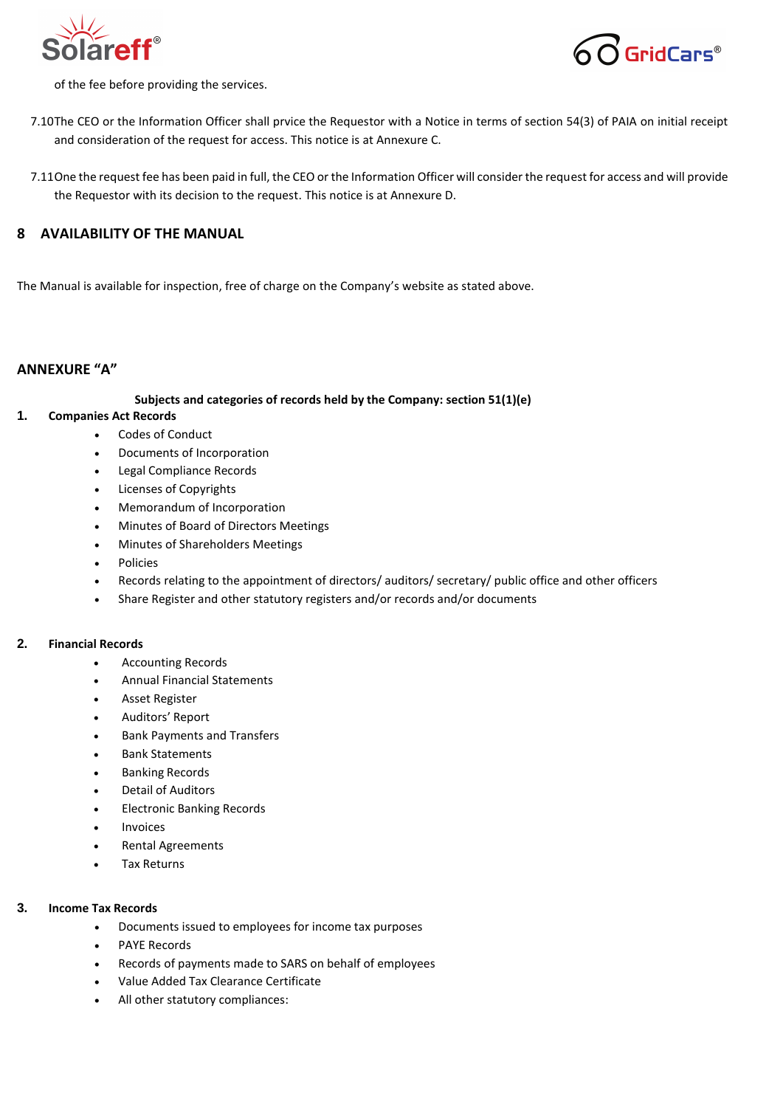



of the fee before providing the services.

- 7.10The CEO or the Information Officer shall prvice the Requestor with a Notice in terms of section 54(3) of PAIA on initial receipt and consideration of the request for access. This notice is at Annexure C.
- 7.11One the request fee has been paid in full, the CEO or the Information Officer will consider the request for access and will provide the Requestor with its decision to the request. This notice is at Annexure D.

## **8 AVAILABILITY OF THE MANUAL**

The Manual is available for inspection, free of charge on the Company's website as stated above.

## **ANNEXURE "A"**

#### **Subjects and categories of records held by the Company: section 51(1)(e)**

## **1. Companies Act Records**

- Codes of Conduct
- Documents of Incorporation
- Legal Compliance Records
- Licenses of Copyrights
- Memorandum of Incorporation
- Minutes of Board of Directors Meetings
- Minutes of Shareholders Meetings
- Policies
- Records relating to the appointment of directors/ auditors/ secretary/ public office and other officers
- Share Register and other statutory registers and/or records and/or documents

#### **2. Financial Records**

- Accounting Records
- Annual Financial Statements
- Asset Register
- Auditors' Report
- Bank Payments and Transfers
- Bank Statements
- Banking Records
- Detail of Auditors
- Electronic Banking Records
- **Invoices**
- Rental Agreements
- Tax Returns

#### **3. Income Tax Records**

- Documents issued to employees for income tax purposes
- PAYE Records
- Records of payments made to SARS on behalf of employees
- Value Added Tax Clearance Certificate
- All other statutory compliances: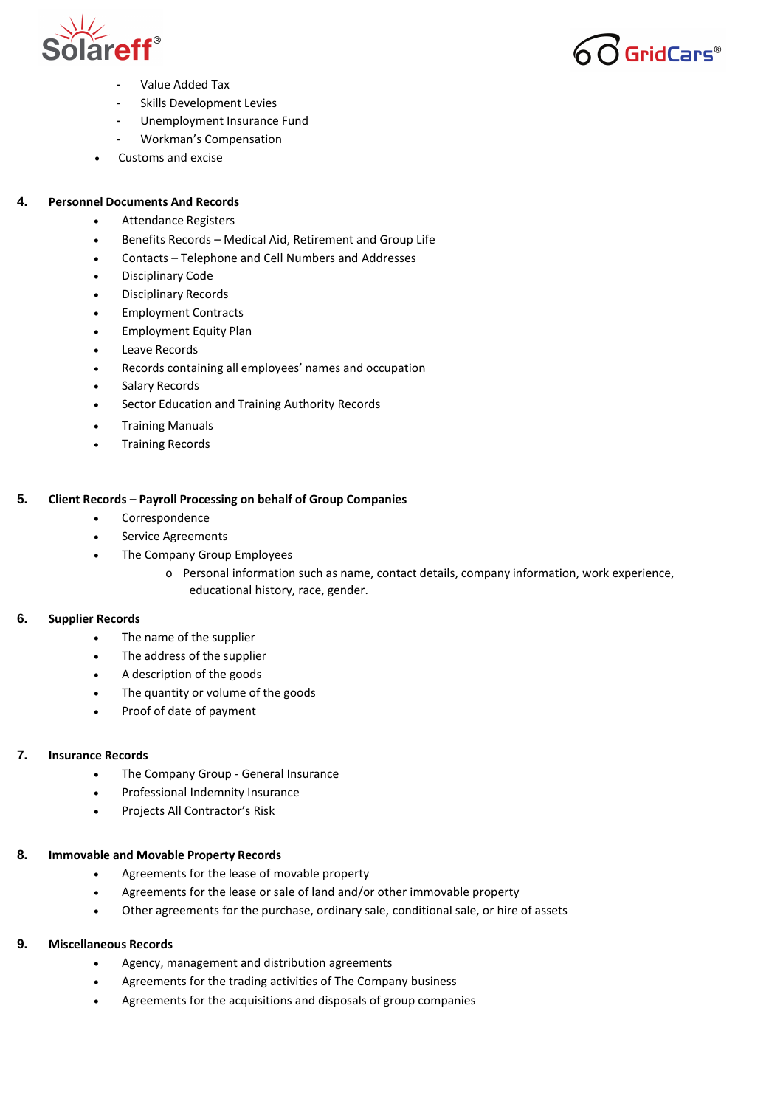



- Value Added Tax
- Skills Development Levies
- Unemployment Insurance Fund
- Workman's Compensation
- Customs and excise

## **4. Personnel Documents And Records**

- Attendance Registers
- Benefits Records Medical Aid, Retirement and Group Life
- Contacts Telephone and Cell Numbers and Addresses
- Disciplinary Code
- Disciplinary Records
- Employment Contracts
- Employment Equity Plan
- Leave Records
- Records containing all employees' names and occupation
- Salary Records
- Sector Education and Training Authority Records
- Training Manuals
- Training Records

## **5. Client Records – Payroll Processing on behalf of Group Companies**

- Correspondence
- Service Agreements
- The Company Group Employees
	- o Personal information such as name, contact details, company information, work experience, educational history, race, gender.

## **6. Supplier Records**

- The name of the supplier
- The address of the supplier
- A description of the goods
- The quantity or volume of the goods
- Proof of date of payment

## **7. Insurance Records**

- The Company Group General Insurance
- Professional Indemnity Insurance
- Projects All Contractor's Risk

## **8. Immovable and Movable Property Records**

- Agreements for the lease of movable property
- Agreements for the lease or sale of land and/or other immovable property
- Other agreements for the purchase, ordinary sale, conditional sale, or hire of assets

## **9. Miscellaneous Records**

- Agency, management and distribution agreements
- Agreements for the trading activities of The Company business
- Agreements for the acquisitions and disposals of group companies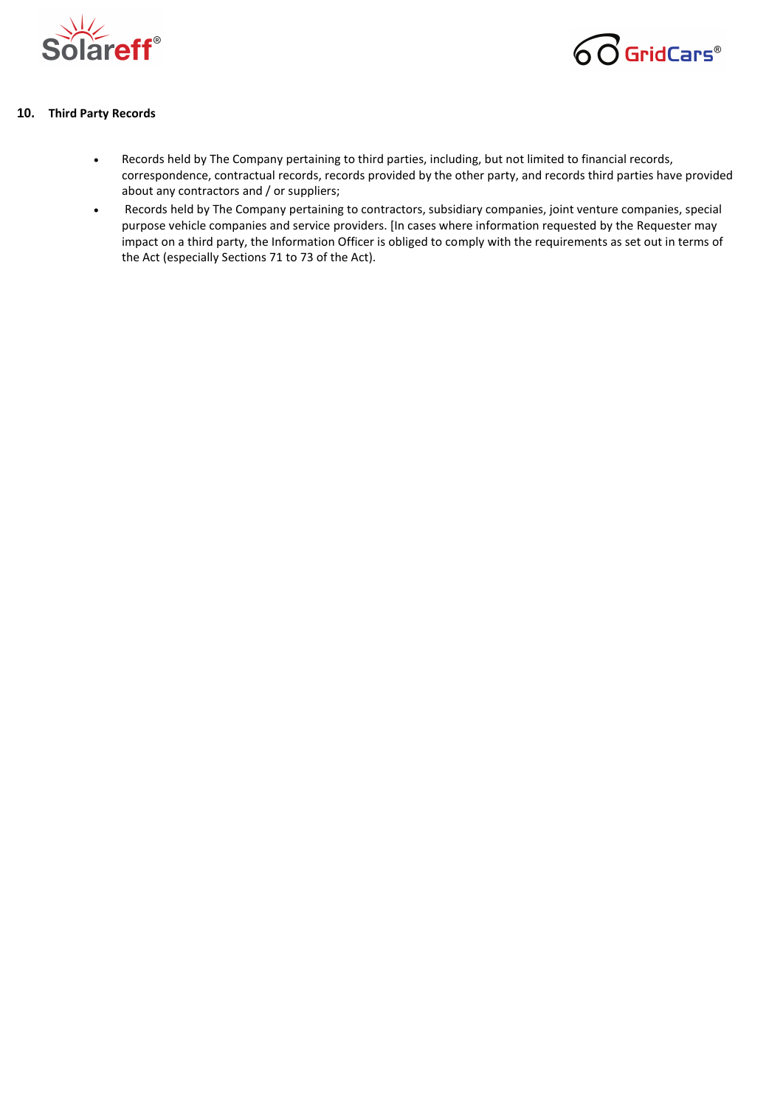



## **10. Third Party Records**

- Records held by The Company pertaining to third parties, including, but not limited to financial records, correspondence, contractual records, records provided by the other party, and records third parties have provided about any contractors and / or suppliers;
- Records held by The Company pertaining to contractors, subsidiary companies, joint venture companies, special purpose vehicle companies and service providers. [In cases where information requested by the Requester may impact on a third party, the Information Officer is obliged to comply with the requirements as set out in terms of the Act (especially Sections 71 to 73 of the Act).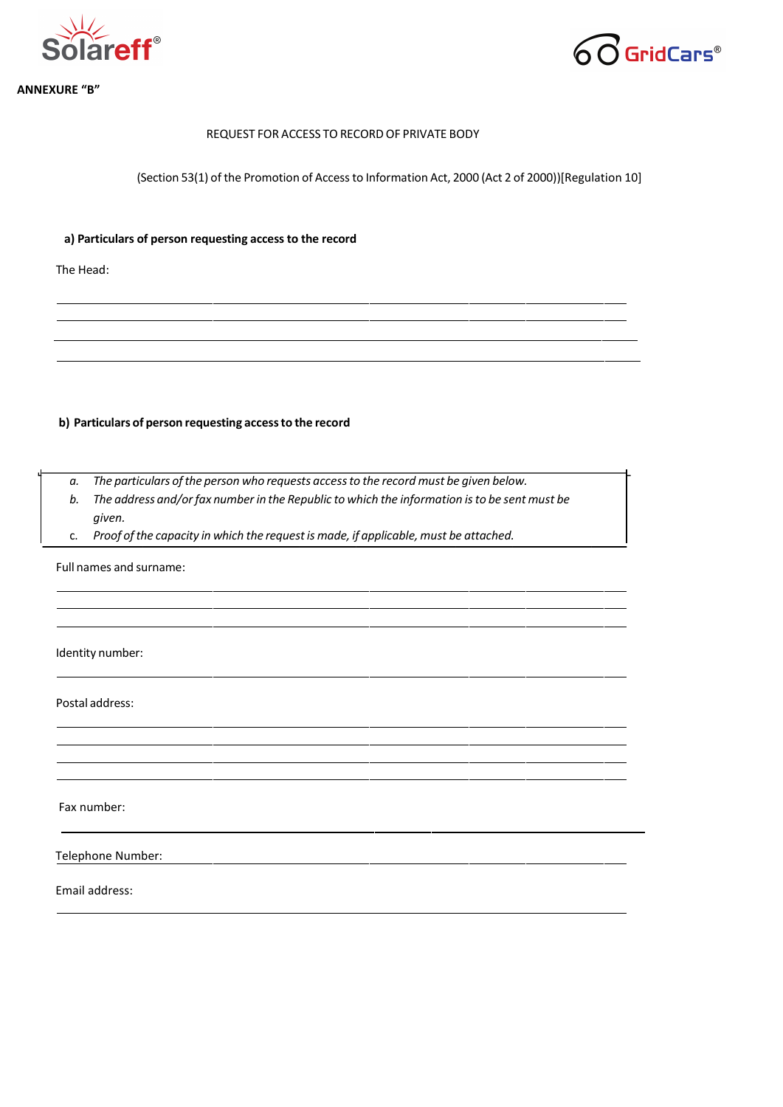



#### **1. ANNEXURE "B"**

## REQUEST FOR ACCESS TO RECORD OF PRIVATE BODY

(Section 53(1) of the Promotion of Accessto Information Act, 2000 (Act 2 of 2000))[Regulation 10]

## **a) Particulars of person requesting access to the record**

The Head:

## **b) Particulars of person requesting accessto the record**

- *a. The particulars ofthe person who requests accessto the record must be given below.*
- *b. The address and/orfax number in the Republic to which the information isto be sent must be given.*
- c. *Proof ofthe capacity in which the requestis made, if applicable, must be attached.*

Full names and surname:

Identity number:

Postal address:

Fax number:

Telephone Number:

Email address: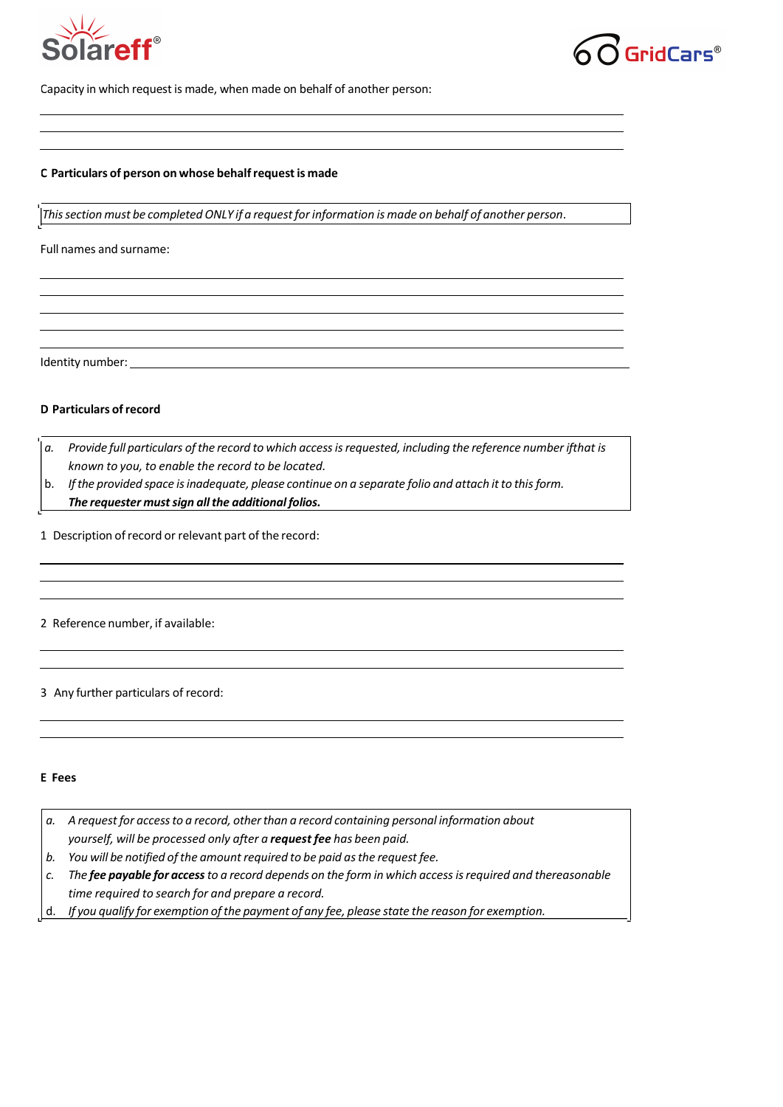



Capacity in which request is made, when made on behalf of another person:

#### **C Particulars of person on whose behalfrequest is made**

*Thissection must be completed ONLY if a requestforinformation is made on behalf of another person*.

Full names and surname:

Identity number:

### **D Particulars ofrecord**

- *a. Provide full particulars ofthe record to which accessisrequested, including the reference number ifthat is known to you, to enable the record to be located.*
- b. *Ifthe provided space isinadequate, please continue on a separate folio and attach itto thisform.*

*The requester must sign all the additional folios.* 

1 Description ofrecord or relevant part of the record:

2 Reference number, if available:

3 Any further particulars of record:

#### **E Fees**

*a. A request for accessto a record, otherthan a record containing personal information about yourself, will be processed only after a request fee has been paid. b. You will be notified ofthe amount required to be paid asthe request fee.* c. The fee payable for access to a record depends on the form in which access is required and thereasonable *time required to search for and prepare a record.* d. *If you qualify for exemption ofthe payment of any fee, please state the reason for exemption.*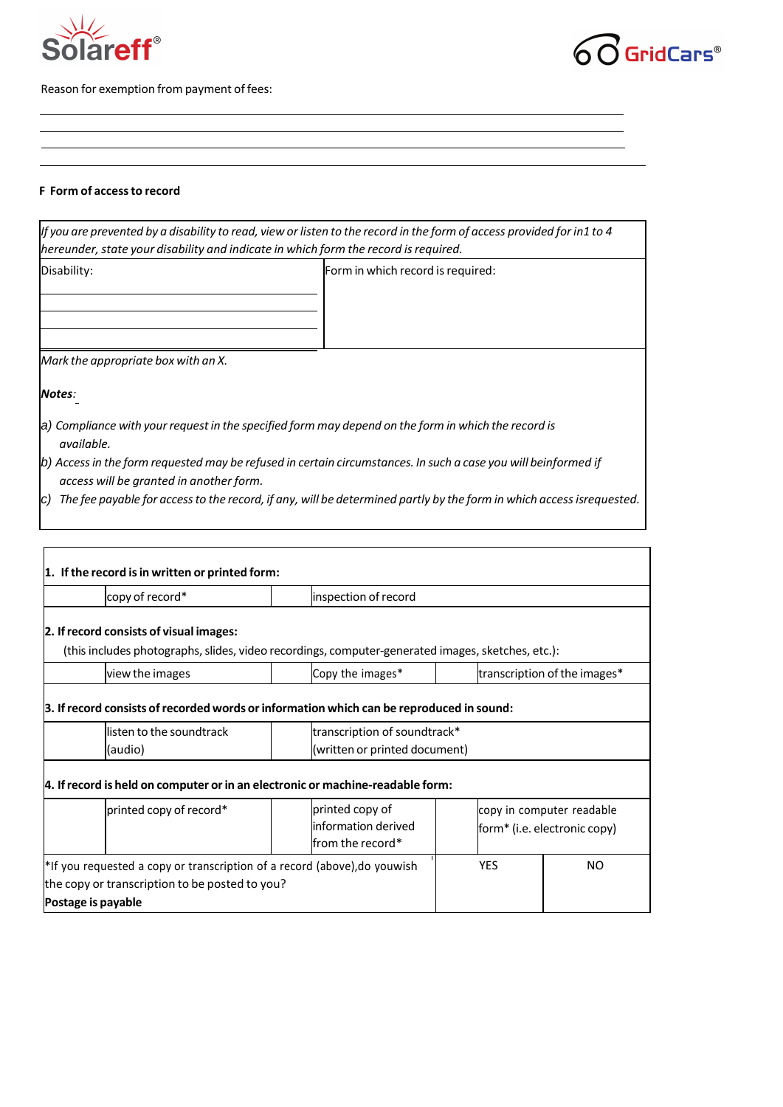



Reason for exemption from payment of fees:

#### **F Form of accessto record**

| hereunder, state your disability and indicate in which form the record is required. | If you are prevented by a disability to read, view or listen to the record in the form of access provided for in1 to 4 |
|-------------------------------------------------------------------------------------|------------------------------------------------------------------------------------------------------------------------|
| Disability:                                                                         | Form in which record is required:                                                                                      |
| Mark the appropriate box with an X.                                                 |                                                                                                                        |
| Notes:                                                                              |                                                                                                                        |
| available.                                                                          | a) Compliance with your request in the specified form may depend on the form in which the record is                    |
| access will be granted in another form.                                             | b) Access in the form requested may be refused in certain circumstances. In such a case you will beinformed if         |
| IC)                                                                                 | The fee payable for access to the record, if any, will be determined partly by the form in which access isrequested.   |

<u> 1980 - Johann Barn, mars ann an t-Amhain Aonaich an t-Aonaich an t-Aonaich ann an t-Aonaich ann an t-Aonaich</u>

<u> 1989 - Johann Stoff, deutscher Stoffen und der Stoffen und der Stoffen und der Stoffen und der Stoffen und der</u>

| copy of record*                                                                                   | inspection of record          |                              |                           |  |  |
|---------------------------------------------------------------------------------------------------|-------------------------------|------------------------------|---------------------------|--|--|
| 2. If record consists of visual images:                                                           |                               |                              |                           |  |  |
| (this includes photographs, slides, video recordings, computer-generated images, sketches, etc.): |                               |                              |                           |  |  |
| view the images                                                                                   | Copy the images*              | transcription of the images* |                           |  |  |
|                                                                                                   |                               |                              |                           |  |  |
| 3. If record consists of recorded words or information which can be reproduced in sound:          |                               |                              |                           |  |  |
| llisten to the soundtrack                                                                         |                               | transcription of soundtrack* |                           |  |  |
| (audio)                                                                                           | (written or printed document) |                              |                           |  |  |
|                                                                                                   |                               |                              |                           |  |  |
| 4. If record is held on computer or in an electronic or machine-readable form:                    |                               |                              |                           |  |  |
| printed copy of record*                                                                           | printed copy of               |                              | copy in computer readable |  |  |
|                                                                                                   |                               | form* (i.e. electronic copy) |                           |  |  |
|                                                                                                   | information derived           |                              |                           |  |  |
|                                                                                                   | lfrom the record*             |                              |                           |  |  |
| *If you requested a copy or transcription of a record (above), do youwish                         |                               | <b>YES</b>                   | NO.                       |  |  |
| the copy or transcription to be posted to you?                                                    |                               |                              |                           |  |  |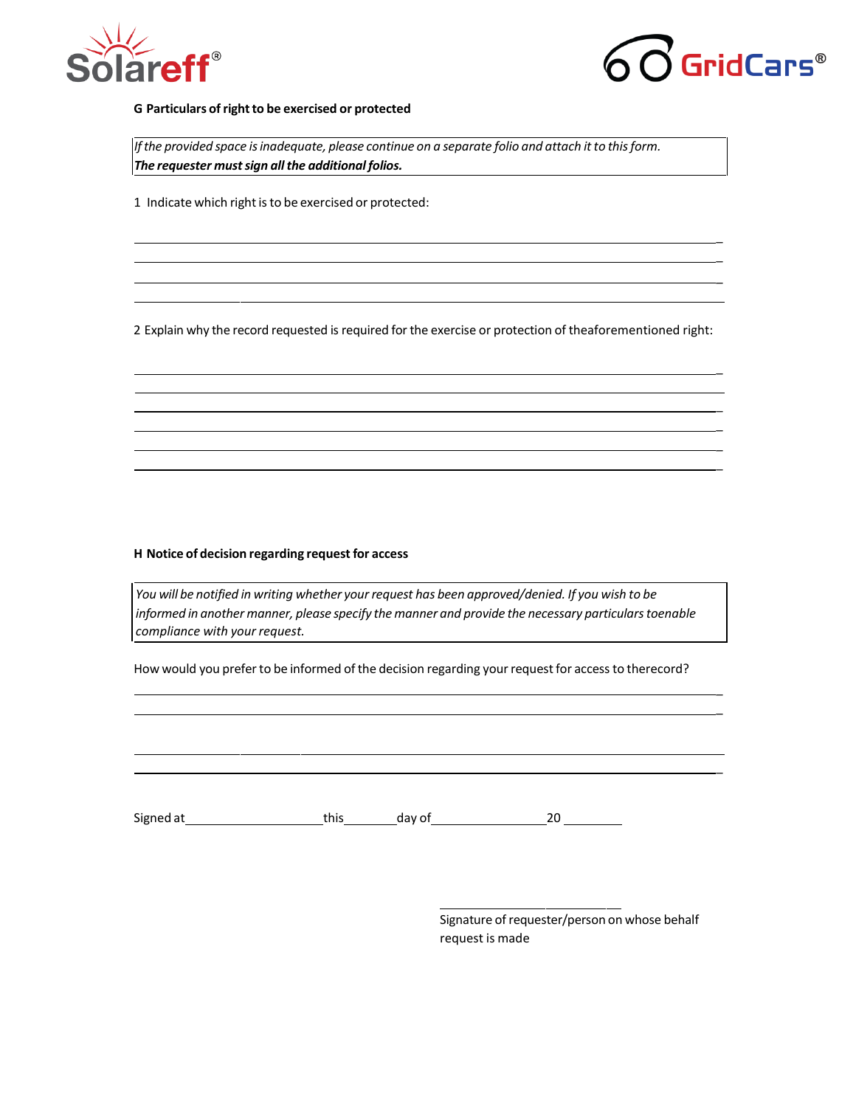



\_  $\overline{a}$ \_

\_

\_  $\overline{a}$  $\overline{a}$  $\overline{a}$ 

 $\overline{a}$ \_

\_

### **G Particulars ofrightto be exercised or protected**

*Ifthe provided space isinadequate, please continue on a separate folio and attach it to thisform. The requester mustsign allthe additional folios.*

1 Indicate which right is to be exercised or protected:

2 Explain why the record requested is required for the exercise or protection of theaforementioned right:

#### **H Notice of decision regarding request for access**

*You will be notified in writing whether yourrequest has been approved/denied. If you wish to be informed in another manner, please specify the manner and provide the necessary particularstoenable compliance with your request.*

How would you prefer to be informed of the decision regarding your request for access to therecord?

Signed at this day of 20

Signature of requester/person on whose behalf request is made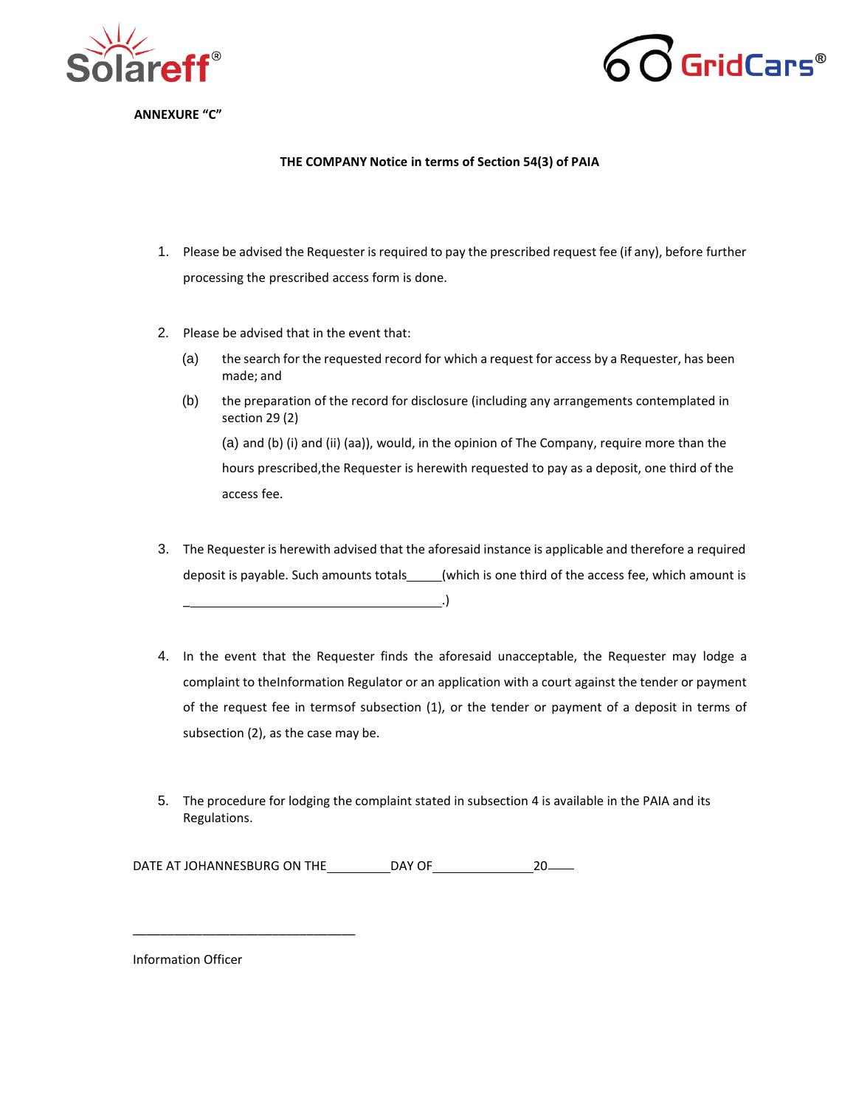



**11. ANNEXURE "C"**

#### **THE COMPANY Notice in terms of Section 54(3) of PAIA**

- 1. Please be advised the Requester is required to pay the prescribed request fee (if any), before further processing the prescribed access form is done.
- 2. Please be advised that in the event that:
	- (a) the search for the requested record for which a request for access by a Requester, has been made; and
	- (b) the preparation of the record for disclosure (including any arrangements contemplated in section 29 (2) (a) and (b) (i) and (ii) (aa)), would, in the opinion of The Company, require more than the hours prescribed,the Requester is herewith requested to pay as a deposit, one third of the access fee.
- 3. The Requester is herewith advised that the aforesaid instance is applicable and therefore a required deposit is payable. Such amounts totals\_\_\_\_\_(which is one third of the access fee, which amount is \_ .)
- 4. In the event that the Requester finds the aforesaid unacceptable, the Requester may lodge a complaint to theInformation Regulator or an application with a court against the tender or payment of the request fee in termsof subsection (1), or the tender or payment of a deposit in terms of subsection (2), as the case may be.
- 5. The procedure for lodging the complaint stated in subsection 4 is available in the PAIA and its Regulations.

DATE AT JOHANNESBURG ON THE DAY OF 20

Information Officer

\_\_\_\_\_\_\_\_\_\_\_\_\_\_\_\_\_\_\_\_\_\_\_\_\_\_\_\_\_\_\_\_